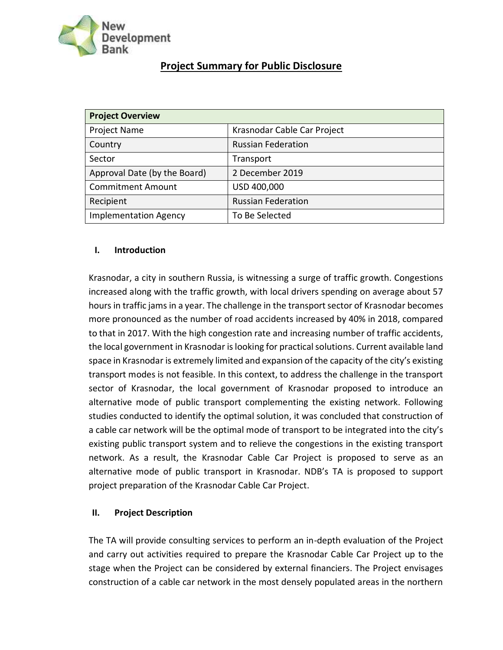

# **Project Summary for Public Disclosure**

| <b>Project Overview</b>      |                             |
|------------------------------|-----------------------------|
| <b>Project Name</b>          | Krasnodar Cable Car Project |
| Country                      | <b>Russian Federation</b>   |
| Sector                       | Transport                   |
| Approval Date (by the Board) | 2 December 2019             |
| <b>Commitment Amount</b>     | USD 400,000                 |
| Recipient                    | <b>Russian Federation</b>   |
| <b>Implementation Agency</b> | To Be Selected              |

## **I. Introduction**

Krasnodar, a city in southern Russia, is witnessing a surge of traffic growth. Congestions increased along with the traffic growth, with local drivers spending on average about 57 hours in traffic jams in a year. The challenge in the transport sector of Krasnodar becomes more pronounced as the number of road accidents increased by 40% in 2018, compared to that in 2017. With the high congestion rate and increasing number of traffic accidents, the local government in Krasnodar is looking for practical solutions. Current available land space in Krasnodar is extremely limited and expansion of the capacity of the city's existing transport modes is not feasible. In this context, to address the challenge in the transport sector of Krasnodar, the local government of Krasnodar proposed to introduce an alternative mode of public transport complementing the existing network. Following studies conducted to identify the optimal solution, it was concluded that construction of a cable car network will be the optimal mode of transport to be integrated into the city's existing public transport system and to relieve the congestions in the existing transport network. As a result, the Krasnodar Cable Car Project is proposed to serve as an alternative mode of public transport in Krasnodar. NDB's TA is proposed to support project preparation of the Krasnodar Cable Car Project.

# **II. Project Description**

The TA will provide consulting services to perform an in-depth evaluation of the Project and carry out activities required to prepare the Krasnodar Cable Car Project up to the stage when the Project can be considered by external financiers. The Project envisages construction of a cable car network in the most densely populated areas in the northern